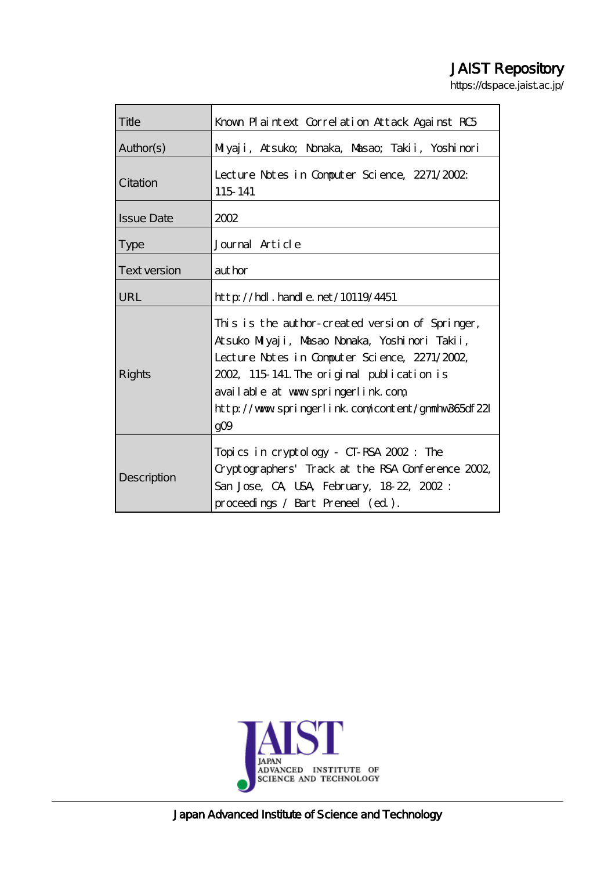# JAIST Repository

https://dspace.jaist.ac.jp/

| Title               | Known Plaintext Correlation Attack Against RC5                                                                                                                                                                                                                                                                |
|---------------------|---------------------------------------------------------------------------------------------------------------------------------------------------------------------------------------------------------------------------------------------------------------------------------------------------------------|
| Author(s)           | Miyaji, Atsuko; Nonaka, Masao; Takii, Yoshinori                                                                                                                                                                                                                                                               |
| Citation            | Lecture Notes in Computer Science, 2271/2002<br>115 141                                                                                                                                                                                                                                                       |
| <b>Issue Date</b>   | 2002                                                                                                                                                                                                                                                                                                          |
| <b>Type</b>         | Journal Article                                                                                                                                                                                                                                                                                               |
| <b>Text version</b> | aut hor                                                                                                                                                                                                                                                                                                       |
| URL                 | $http$ // $rdl$ . handle. net/10119/4451                                                                                                                                                                                                                                                                      |
| Rights              | This is the author-created version of Springer,<br>Atsuko Milyaji, Masao Nonaka, Yoshinori Takii,<br>Lecture Notes in Computer Science, 2271/2002,<br>2002, 115 141. The original publication is<br>available at www.springerlink.com<br>http://www.springerlink.com/content/gmmhw365df221<br>gO <sub>9</sub> |
| Description         | Topics in cryptology - CT-RSA 2002: The<br>Cryptographers' Track at the RSA Conference 2002,<br>San Jose, CA, USA, February, 18 22, 2002:<br>proceedings / Bart Preneel (ed.).                                                                                                                                |



Japan Advanced Institute of Science and Technology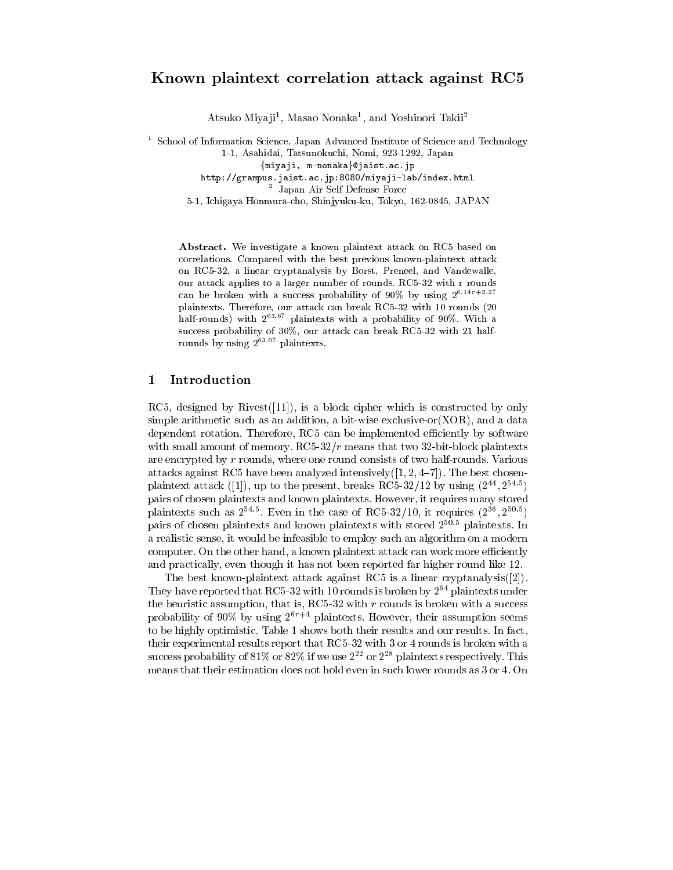# Known plaintext correlation attack against RC5

Atsuko Miyaji<sup>1</sup>, Masao Nonaka<sup>1</sup>, and Yoshinori Takii<sup>2</sup>

<sup>1</sup> School of Information Science, Japan Advanced Institute of Science and Technology 1-1, Asahidai, Tatsunokuchi, Nomi, 923-1292, Japan {miyaji, m-nonaka}@jaist.ac.jp http://grampus.jaist.ac.jp:8080/miyaji-lab/index.html <sup>2</sup> Japan Air Self Defense Force

5-1, Ichigaya Honmura-cho, Shinjyuku-ku, Tokyo, 162-0845, JAPAN

Abstract. We investigate a known plaintext attack on RC5 based on correlations. Compared with the best previous known-plaintext attack on RC5-32, a linear cryptanalysis by Borst, Preneel, and Vandewalle, our attack applies to a larger number of rounds. RC5-32 with r rounds can be broken with a success probability of 90% by using  $2^{6.14r+2.27}$ plaintexts. Therefore, our attack can break RC5-32 with 10 rounds (20 half-rounds) with  $2^{63.67}$  plaintexts with a probability of 90%. With a success probability of 30%, our attack can break RC5-32 with 21 halfrounds by using 2<sup>63.07</sup> plaintexts.

#### Introduction 1

RC5, designed by Rivest  $(11)$ , is a block cipher which is constructed by only simple arithmetic such as an addition, a bit-wise exclusive-or  $(XOR)$ , and a data dependent rotation. Therefore, RC5 can be implemented efficiently by software with small amount of memory.  $\text{RC5-32}/r$  means that two 32-bit-block plaintexts are encrypted by  $r$  rounds, where one round consists of two half-rounds. Various attacks against RC5 have been analyzed intensively( $[1, 2, 4-7]$ ). The best chosenplaintext attack ([1]), up to the present, breaks RC5-32/12 by using  $(2^{44}, 2^{54.5})$ pairs of chosen plaintexts and known plaintexts. However, it requires many stored plaintexts such as  $2^{54.5}$ . Even in the case of RC5-32/10, it requires  $(2^{36}, 2^{50.5})$ pairs of chosen plaintexts and known plaintexts with stored  $2^{50.5}$  plaintexts. In a realistic sense, it would be infeasible to employ such an algorithm on a modern computer. On the other hand, a known plaintext attack can work more efficiently and practically, even though it has not been reported far higher round like 12.

The best known-plaintext attack against RC5 is a linear cryptanalysis( $[2]$ ). They have reported that RC5-32 with 10 rounds is broken by  $2^{64}$  plaintexts under the heuristic assumption, that is, RC5-32 with  $r$  rounds is broken with a success probability of 90% by using  $2^{6r+4}$  plaintexts. However, their assumption seems to be highly optimistic. Table 1 shows both their results and our results. In fact, their experimental results report that  $RC5-32$  with 3 or 4 rounds is broken with a success probability of 81% or 82% if we use  $2^{22}$  or  $2^{28}$  plaintexts respectively. This means that their estimation does not hold even in such lower rounds as 3 or 4. On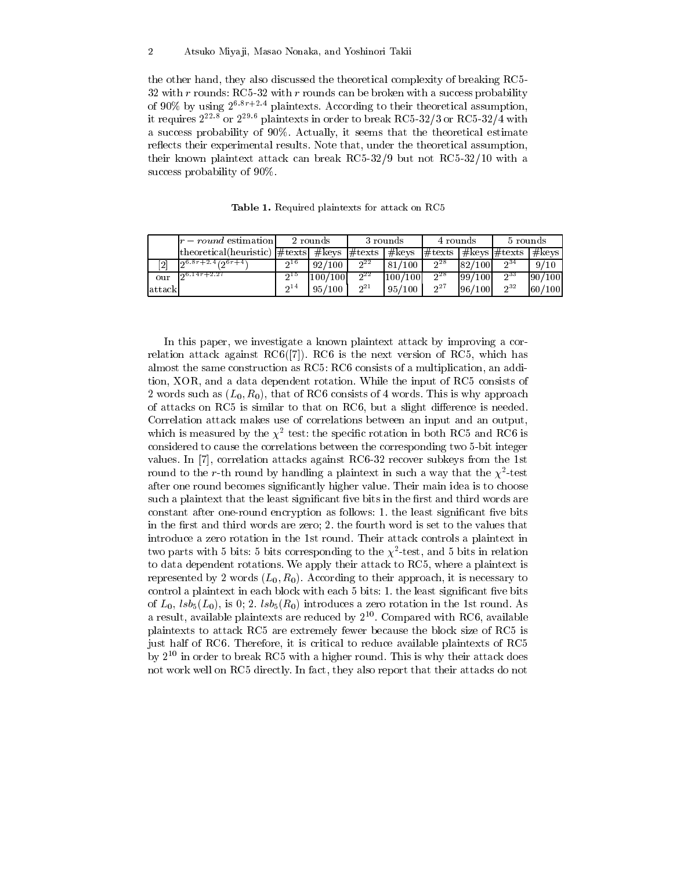the other hand, they also discussed the theoretical complexity of breaking RC5-32 with  $r$  rounds: RC5-32 with  $r$  rounds can be broken with a success probability of 90% by using  $2^{6.8r+2.4}$  plaintexts. According to their theoretical assumption, it requires  $2^{22.8}$  or  $2^{29.6}$  plaintexts in order to break RC5-32/3 or RC5-32/4 with a success probability of 90%. Actually, it seems that the theoretical estimate reflects their experimental results. Note that, under the theoretical assumption, their known plaintext attack can break  $RC5-32/9$  but not  $RC5-32/10$  with a success probability of 90%.

|          | $ r - round$ estimation                                                                                              |                 | 2 rounds |          | 3 rounds | 4 rounds |         | 5 rounds |        |
|----------|----------------------------------------------------------------------------------------------------------------------|-----------------|----------|----------|----------|----------|---------|----------|--------|
|          | theoretical(heuristic) $\#$ texts $\#$ keys $\#$ texts   $\#$ keys   $\#$ texts   $\#$ keys   $\#$ texts   $\#$ keys |                 |          |          |          |          |         |          |        |
|          | $\overline{126.8r+2.4/20r+4}$                                                                                        | 0.16            | 92/100   | $2^{22}$ | 81/100   | 28       | 82/100  | $2^{34}$ | 9/10   |
| our      | $0.14r + 2.27$                                                                                                       | າ <sup>15</sup> | 100/100  | $2^{22}$ | 100/100  | $2^{28}$ | 199/100 | $2^{33}$ | 90/100 |
| lattackl |                                                                                                                      | 0 <sup>14</sup> | 95/100   | $2^{21}$ | 95/100   | $2^7$    | 96/100  | $2^{32}$ | 60/100 |

Table 1. Required plaintexts for attack on RC5

In this paper, we investigate a known plaintext attack by improving a correlation attack against  $RC6([7])$ . RC6 is the next version of RC5, which has almost the same construction as RC5: RC6 consists of a multiplication, an addition, XOR, and a data dependent rotation. While the input of RC5 consists of 2 words such as  $(L_0, R_0)$ , that of RC6 consists of 4 words. This is why approach of attacks on RC5 is similar to that on RC6, but a slight difference is needed. Correlation attack makes use of correlations between an input and an output, which is measured by the  $\chi^2$  test: the specific rotation in both RC5 and RC6 is considered to cause the correlations between the corresponding two 5-bit integer values. In [7], correlation attacks against RC6-32 recover subkeys from the 1st round to the r-th round by handling a plaintext in such a way that the  $\chi^2$ -test after one round becomes significantly higher value. Their main idea is to choose such a plaintext that the least significant five bits in the first and third words are constant after one-round encryption as follows: 1. the least significant five bits in the first and third words are zero; 2. the fourth word is set to the values that introduce a zero rotation in the 1st round. Their attack controls a plaintext in two parts with 5 bits: 5 bits corresponding to the  $\chi^2$ -test, and 5 bits in relation to data dependent rotations. We apply their attack to RC5, where a plaintext is represented by 2 words  $(L_0, R_0)$ . According to their approach, it is necessary to control a plaintext in each block with each 5 bits: 1. the least significant five bits of  $L_0$ ,  $lsb_5(L_0)$ , is 0; 2.  $lsb_5(R_0)$  introduces a zero rotation in the 1st round. As a result, available plaintexts are reduced by  $2^{10}$ . Compared with RC6, available plaintexts to attack RC5 are extremely fewer because the block size of RC5 is just half of RC6. Therefore, it is critical to reduce available plaintexts of RC5 by  $2^{10}$  in order to break RC5 with a higher round. This is why their attack does not work well on RC5 directly. In fact, they also report that their attacks do not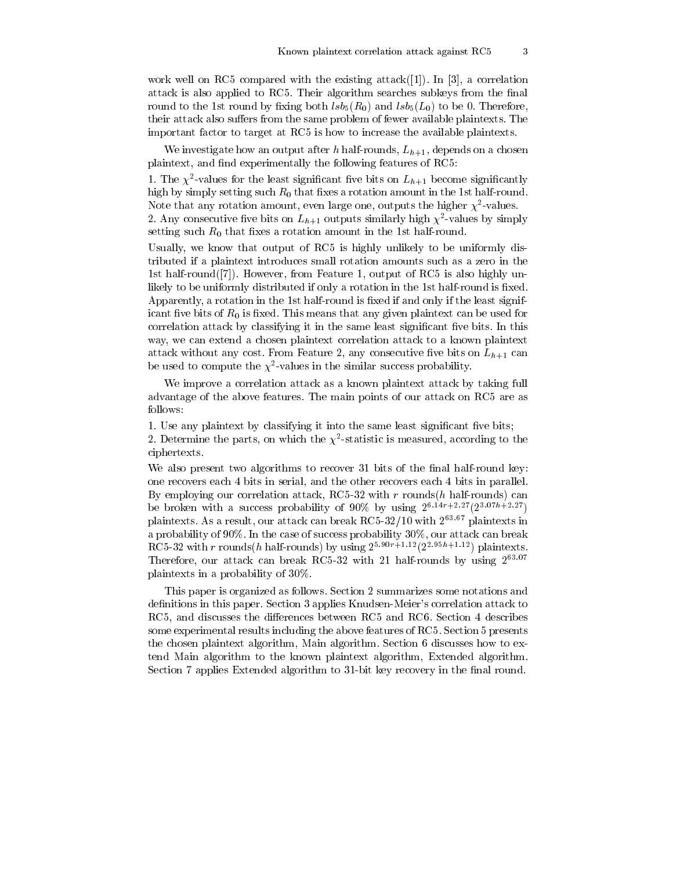work well on RC5 compared with the existing attack  $(1)$ . In [3], a correlation attack is also applied to RC5. Their algorithm searches subkeys from the final round to the 1st round by fixing both  $lsb_5(R_0)$  and  $lsb_5(L_0)$  to be 0. Therefore. their attack also suffers from the same problem of fewer available plaintexts. The important factor to target at RC5 is how to increase the available plaintexts.

We investigate how an output after h half-rounds,  $L_{h+1}$ , depends on a chosen plaintext, and find experimentally the following features of RC5:

1. The  $\chi^2$ -values for the least significant five bits on  $L_{h+1}$  become significantly high by simply setting such  $R_0$  that fixes a rotation amount in the 1st half-round. Note that any rotation amount, even large one, outputs the higher  $\chi^2$ -values.

2. Any consecutive five bits on  $L_{h+1}$  outputs similarly high  $\chi^2$ -values by simply setting such  $R_0$  that fixes a rotation amount in the 1st half-round.

Usually, we know that output of RC5 is highly unlikely to be uniformly distributed if a plaintext introduces small rotation amounts such as a zero in the 1st half-round  $([7])$ . However, from Feature 1, output of RC5 is also highly unlikely to be uniformly distributed if only a rotation in the 1st half-round is fixed. Apparently, a rotation in the 1st half-round is fixed if and only if the least significant five bits of  $R_0$  is fixed. This means that any given plaintext can be used for correlation attack by classifying it in the same least significant five bits. In this way, we can extend a chosen plaintext correlation attack to a known plaintext attack without any cost. From Feature 2, any consecutive five bits on  $L_{h+1}$  can be used to compute the  $\chi^2\text{-values}$  in the similar success probability.

We improve a correlation attack as a known plaintext attack by taking full advantage of the above features. The main points of our attack on RC5 are as follows:

1. Use any plaintext by classifying it into the same least significant five bits; 2. Determine the parts, on which the  $\chi^2$ -statistic is measured, according to the ciphertexts.

We also present two algorithms to recover 31 bits of the final half-round key: one recovers each 4 bits in serial, and the other recovers each 4 bits in parallel. By employing our correlation attack, RC5-32 with  $r$  rounds( $h$  half-rounds) can be broken with a success probability of 90% by using  $2^{6.14r+2.27}(2^{3.07h+2.27})$ plaintexts. As a result, our attack can break RC5-32/10 with  $2^{63.67}$  plaintexts in a probability of 90%. In the case of success probability 30%, our attack can break RC5-32 with r rounds (h half-rounds) by using  $2^{5.90r+1.12}(2^{2.95h+1.12})$  plaintexts. Therefore, our attack can break RC5-32 with 21 half-rounds by using 263.07 plaintexts in a probability of 30%.

This paper is organized as follows. Section 2 summarizes some notations and definitions in this paper. Section 3 applies Knudsen-Meier's correlation attack to RC5, and discusses the differences between RC5 and RC6. Section 4 describes some experimental results including the above features of RC5. Section 5 presents the chosen plaintext algorithm, Main algorithm. Section 6 discusses how to extend Main algorithm to the known plaintext algorithm, Extended algorithm. Section 7 applies Extended algorithm to 31-bit key recovery in the final round.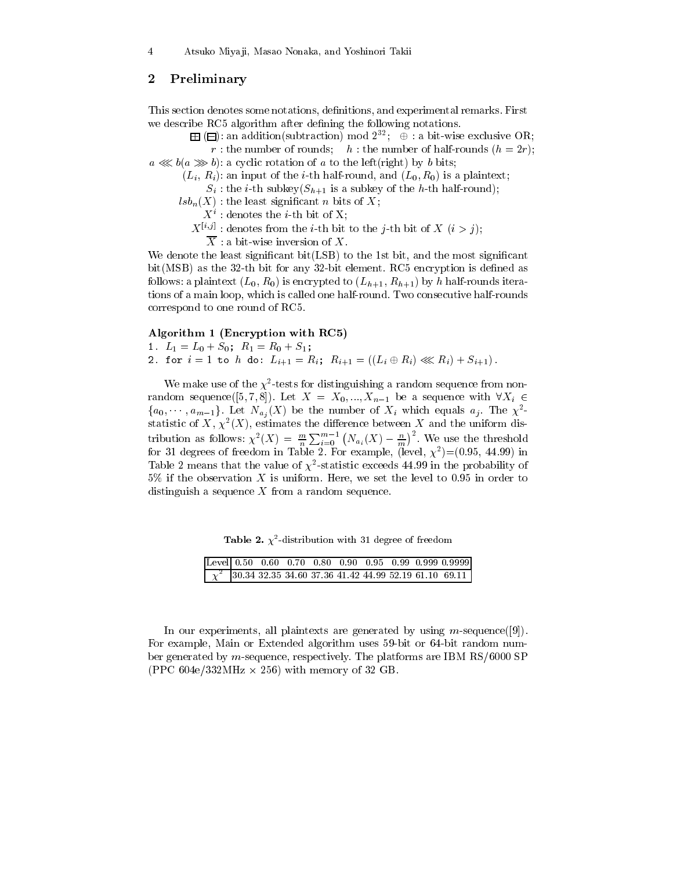#### $\bf{2}$ Preliminary

This section denotes some notations, definitions, and experimental remarks. First we describe RC5 algorithm after defining the following notations.

 $\boxplus$  ( $\boxminus$ ): an addition(subtraction) mod  $2^{32}$ ;  $\oplus$  : a bit-wise exclusive OR; r: the number of rounds; h: the number of half-rounds  $(h = 2r)$ ;

 $a \ll b(a \gg b)$ : a cyclic rotation of a to the left (right) by b bits;

 $(L_i, R_i)$ : an input of the *i*-th half-round, and  $(L_0, R_0)$  is a plaintext;

 $S_i$ : the *i*-th subkey( $S_{h+1}$  is a subkey of the *h*-th half-round);

 $lsb_n(X)$ : the least significant *n* bits of X;

 $X^i$ : denotes the *i*-th bit of X;

 $X^{[i,j]}$ : denotes from the *i*-th bit to the *j*-th bit of X (*i* > *j*);

 $\overline{X}$ : a bit-wise inversion of X.

We denote the least significant bit(LSB) to the 1st bit, and the most significant bit (MSB) as the 32-th bit for any 32-bit element. RC5 encryption is defined as follows: a plaintext  $(L_0, R_0)$  is encrypted to  $(L_{h+1}, R_{h+1})$  by h half-rounds iterations of a main loop, which is called one half-round. Two consecutive half-rounds correspond to one round of RC5.

### Algorithm 1 (Encryption with RC5)

1. 
$$
L_1 = L_0 + S_0
$$
;  $R_1 = R_0 + S_1$ ;

2. for 
$$
i = 1
$$
 to  $h$  do:  $L_{i+1} = R_i$ ;  $R_{i+1} = ((L_i \oplus R_i) \lll R_i) + S_{i+1}$ ).

We make use of the  $\chi^2$ -tests for distinguishing a random sequence from nonrandom sequence([5,7,8]). Let  $X = X_0, ..., X_{n-1}$  be a sequence with  $\forall X_i \in$  $\{a_0, \dots, a_{m-1}\}\.$  Let  $N_{a_i}(X)$  be the number of  $X_i$  which equals  $a_j$ . The  $\chi^2$ statistic of X,  $\chi^2(X)$ , estimates the difference between X and the uniform distribution as follows:  $\chi^2(X) = \frac{m}{n} \sum_{i=0}^{m-1} (N_{a_i}(X) - \frac{n}{m})^2$ . We use the threshold<br>for 31 degrees of freedom in Table 2. For example, (level,  $\chi^2$ )=(0.95, 44.99) in Table 2 means that the value of  $\chi^2$ -statistic exceeds 44.99 in the probability of  $5\%$  if the observation X is uniform. Here, we set the level to 0.95 in order to distinguish a sequence  $X$  from a random sequence.

**Table 2.**  $\chi^2$ -distribution with 31 degree of freedom

|  |  |  |  | Level 0.50 0.60 0.70 0.80 0.90 0.95 0.99 0.999 0.9999 |
|--|--|--|--|-------------------------------------------------------|
|  |  |  |  |                                                       |

In our experiments, all plaintexts are generated by using  $m$ -sequence([9]). For example, Main or Extended algorithm uses 59-bit or 64-bit random number generated by  $m$ -sequence, respectively. The platforms are IBM RS/6000 SP (PPC 604e/332MHz  $\times$  256) with memory of 32 GB.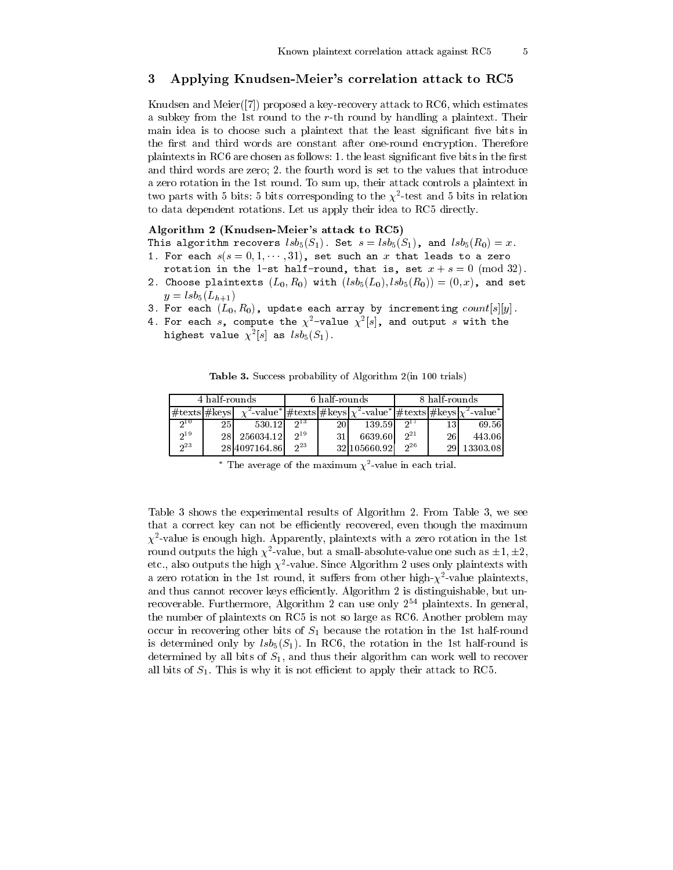#### 3 Applying Knudsen-Meier's correlation attack to RC5

Knudsen and Meier ([7]) proposed a key-recovery attack to RC6, which estimates a subkey from the 1st round to the r-th round by handling a plaintext. Their main idea is to choose such a plaintext that the least significant five bits in the first and third words are constant after one-round encryption. Therefore plaintexts in RC6 are chosen as follows: 1. the least significant five bits in the first and third words are zero; 2. the fourth word is set to the values that introduce a zero rotation in the 1st round. To sum up, their attack controls a plaintext in two parts with 5 bits: 5 bits corresponding to the  $\chi^2$ -test and 5 bits in relation to data dependent rotations. Let us apply their idea to RC5 directly.

# Algorithm 2 (Knudsen-Meier's attack to RC5)

This algorithm recovers  $lsb_5(S_1)$ . Set  $s = lsb_5(S_1)$ , and  $lsb_5(R_0) = x$ . 1. For each  $s(s = 0, 1, \dots, 31)$ , set such an x that leads to a zero

- rotation in the 1-st half-round, that is, set  $x + s = 0 \pmod{32}$ .
- 2. Choose plaintexts  $(L_0, R_0)$  with  $(lsb_5(L_0), lsb_5(R_0)) = (0, x)$ , and set  $y = lsb_5(L_{h+1})$
- 3. For each  $(L_0, R_0)$ , update each array by incrementing  $count[s][y]$ .
- 4. For each s, compute the  $\chi^2$ -value  $\chi^2[s]$ , and output s with the highest value  $\chi^2[s]$  as  $lsb_5(S_1)$ .

**Table 3.** Success probability of Algorithm 2(in 100 trials)

|                      | 4 half rounds |               |      | 6 half-rounds |                                                                                                                                              | 8 half-rounds  |    |          |  |
|----------------------|---------------|---------------|------|---------------|----------------------------------------------------------------------------------------------------------------------------------------------|----------------|----|----------|--|
| $\#$ texts $\#$ keys |               |               |      |               | $\chi^2$ -value* $\frac{1}{\# \text{tex}}$ + $\frac{1}{\# \text{tex}}$ keys $\chi^2$ -value* $\frac{1}{\# \text{tex}}$ keys $\chi^2$ -value* |                |    |          |  |
| 210                  | 25            | 530.12        | ചാ   | 20            | 139.59                                                                                                                                       |                |    | 69.56    |  |
| $2^{19}$             | 28            | 256034.12     | 0.19 |               | 6639.60                                                                                                                                      | 2 <sup>1</sup> | 26 | 443.061  |  |
| 23                   |               | 28 4097164.86 | 0.23 |               | 32 105660.92                                                                                                                                 | 0.26           |    | 13303.08 |  |

\* The average of the maximum  $\chi^2$ -value in each trial.

Table 3 shows the experimental results of Algorithm 2. From Table 3, we see that a correct key can not be efficiently recovered, even though the maximum  $\chi^2$ -value is enough high. Apparently, plaintexts with a zero rotation in the 1st round outputs the high  $\chi^2$ -value, but a small-absolute-value one such as  $\pm 1, \pm 2$ etc., also outputs the high  $\chi^2$ -value. Since Algorithm 2 uses only plaintexts with a zero rotation in the 1st round, it suffers from other high- $\chi^2$ -value plaintexts, and thus cannot recover keys efficiently. Algorithm 2 is distinguishable, but unrecoverable. Furthermore, Algorithm 2 can use only  $2^{54}$  plaintexts. In general, the number of plaintexts on RC5 is not so large as RC6. Another problem may occur in recovering other bits of  $S_1$  because the rotation in the 1st half-round is determined only by  $\text{lsb}_5(S_1)$ . In RC6, the rotation in the 1st half-round is determined by all bits of  $S_1$ , and thus their algorithm can work well to recover all bits of  $S_1$ . This is why it is not efficient to apply their attack to RC5.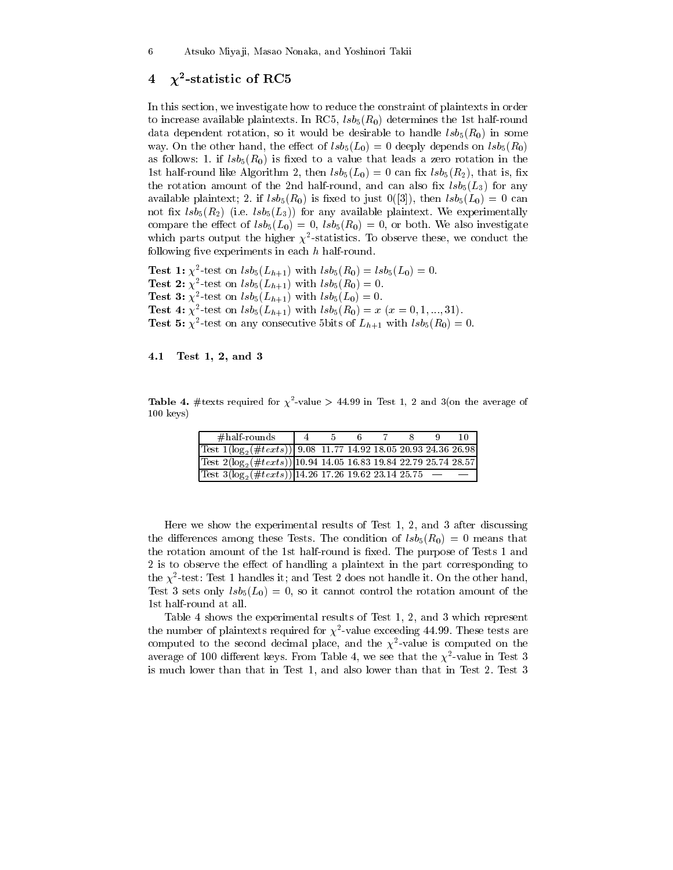#### $\chi^2$ -statistic of RC5  $\overline{\mathbf{4}}$

In this section, we investigate how to reduce the constraint of plaintexts in order to increase available plaintexts. In RC5,  $lsb<sub>5</sub>(R<sub>0</sub>)$  determines the 1st half-round data dependent rotation, so it would be desirable to handle  $lsb_5(R_0)$  in some way. On the other hand, the effect of  $lsb_5(L_0) = 0$  deeply depends on  $lsb_5(R_0)$ as follows: 1. if  $lsb_5(R_0)$  is fixed to a value that leads a zero rotation in the 1st half-round like Algorithm 2, then  $lsb_5(L_0)=0$  can fix  $lsb_5(R_2)$ , that is, fix the rotation amount of the 2nd half-round, and can also fix  $\text{lsb}_5(L_3)$  for any available plaintext; 2. if  $lsb_5(R_0)$  is fixed to just  $0([3])$ , then  $lsb_5(L_0) = 0$  can not fix  $\text{lsb}_5(R_2)$  (i.e.  $\text{lsb}_5(L_3)$ ) for any available plaintext. We experimentally compare the effect of  $lsb_5(L_0) = 0$ ,  $lsb_5(R_0) = 0$ , or both. We also investigate which parts output the higher  $\chi^2$ -statistics. To observe these, we conduct the following five experiments in each  $h$  half-round.

**Test 1:**  $\chi^2$ -test on  $lsb_5(L_{h+1})$  with  $lsb_5(R_0) = lsb_5(L_0) = 0$ . **Test 2:**  $\chi^2$ -test on  $lsb_5(L_{h+1})$  with  $lsb_5(R_0) = 0$ . **Test 3:**  $\chi^2$ -test on  $lsb_5(L_{h+1})$  with  $lsb_5(L_0) = 0$ . **Test 4:**  $\chi^2$ -test on  $lsb_5(L_{h+1})$  with  $lsb_5(R_0) = x$  ( $x = 0, 1, ..., 31$ ). **Test 5:**  $\chi^2$ -test on any consecutive 5bits of  $L_{h+1}$  with  $lsb_5(R_0) = 0$ .

#### Test 1, 2, and 3 4.1

**Table 4.** #texts required for  $\chi^2$ -value > 44.99 in Test 1, 2 and 3(on the average of  $100 \text{ keys}$ 

| $\#$ half rounds                                                          |  |  |  | 10 |
|---------------------------------------------------------------------------|--|--|--|----|
| Test $1(\log_2(\#text{ texts}))$ 9.08 11.77 14.92 18.05 20.93 24.36 26.98 |  |  |  |    |
| Test $2(\log_2(\#textts)) 10.94$ 14.05 16.83 19.84 22.79 25.74 28.57      |  |  |  |    |
| $\frac{\text{Test }3(\log_2(\# texts))}{14.26}$ 17.26 19.62 23.14 25.75 - |  |  |  |    |

Here we show the experimental results of Test 1, 2, and 3 after discussing the differences among these Tests. The condition of  $lsb_5(R_0) = 0$  means that the rotation amount of the 1st half-round is fixed. The purpose of Tests 1 and 2 is to observe the effect of handling a plaintext in the part corresponding to the  $\chi^2$ -test: Test 1 handles it; and Test 2 does not handle it. On the other hand, Test 3 sets only  $lsb_5(L_0) = 0$ , so it cannot control the rotation amount of the 1st half-round at all.

Table 4 shows the experimental results of Test 1, 2, and 3 which represent the number of plaintexts required for  $\chi^2$ -value exceeding 44.99. These tests are computed to the second decimal place, and the  $\chi^2$ -value is computed on the average of 100 different keys. From Table 4, we see that the  $\chi^2$ -value in Test 3 is much lower than that in Test 1, and also lower than that in Test 2. Test 3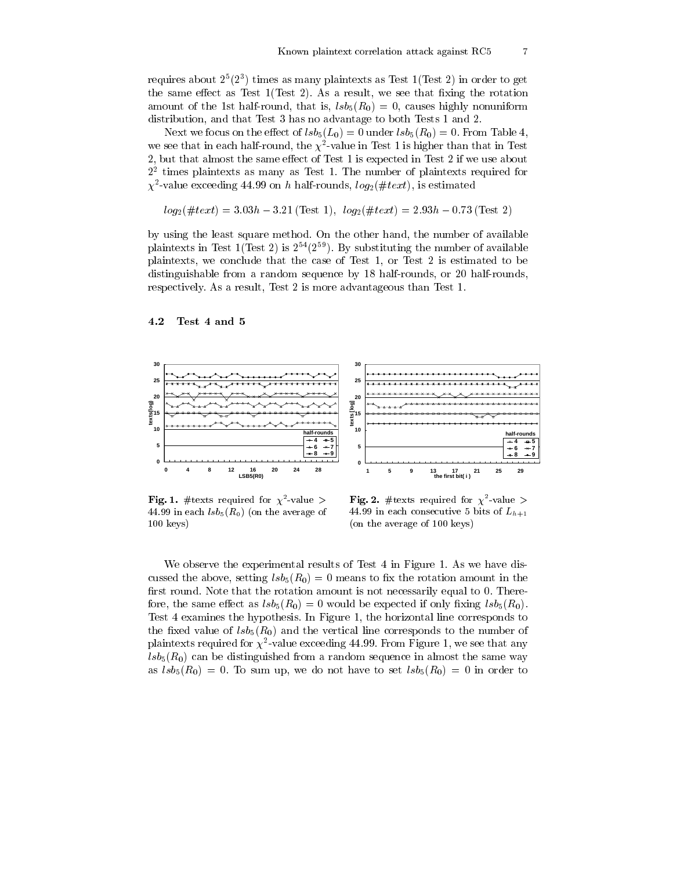requires about  $2^5(2^3)$  times as many plaintexts as Test 1(Test 2) in order to get the same effect as Test  $1(Test 2)$ . As a result, we see that fixing the rotation amount of the 1st half-round, that is,  $lsb_5(R_0) = 0$ , causes highly nonuniform distribution, and that Test 3 has no advantage to both Tests 1 and 2.

Next we focus on the effect of  $lsb_5(L_0) = 0$  under  $lsb_5(R_0) = 0$ . From Table 4, we see that in each half-round, the  $\chi^2$ -value in Test 1 is higher than that in Test 2, but that almost the same effect of Test 1 is expected in Test 2 if we use about  $2<sup>2</sup>$  times plaintexts as many as Test 1. The number of plaintexts required for  $\chi^2$ -value exceeding 44.99 on h half-rounds,  $log_2(\#text{x}t)$ , is estimated

$$
log_2(\#text) = 3.03h - 3.21
$$
 (Test 1),  $log_2(\#text) = 2.93h - 0.73$  (Test 2)

by using the least square method. On the other hand, the number of available plaintexts in Test 1(Test 2) is  $2^{54}(2^{59})$ . By substituting the number of available plaintexts, we conclude that the case of Test 1, or Test 2 is estimated to be distinguishable from a random sequence by 18 half-rounds, or 20 half-rounds, respectively. As a result, Test 2 is more advantageous than Test 1.

#### 4.2 Test 4 and 5



Fig. 1. #texts required for  $\chi^2$ -value > 44.99 in each  $lsb_5(R_0)$  (on the average of  $100 \text{ keys}$ 

Fig. 2. #texts required for  $\chi^2$ -value > 44.99 in each consecutive 5 bits of  $L_{h+1}$ (on the average of 100 keys)

We observe the experimental results of Test 4 in Figure 1. As we have discussed the above, setting  $lsb_5(R_0) = 0$  means to fix the rotation amount in the first round. Note that the rotation amount is not necessarily equal to 0. Therefore, the same effect as  $lsb_5(R_0) = 0$  would be expected if only fixing  $lsb_5(R_0)$ . Test 4 examines the hypothesis. In Figure 1, the horizontal line corresponds to the fixed value of  $lsb_5(R_0)$  and the vertical line corresponds to the number of plaintexts required for  $\chi^2$ -value exceeding 44.99. From Figure 1, we see that any  $\ell s b_5(R_0)$  can be distinguished from a random sequence in almost the same way as  $\ell s b_5(R_0) = 0$ . To sum up, we do not have to set  $\ell s b_5(R_0) = 0$  in order to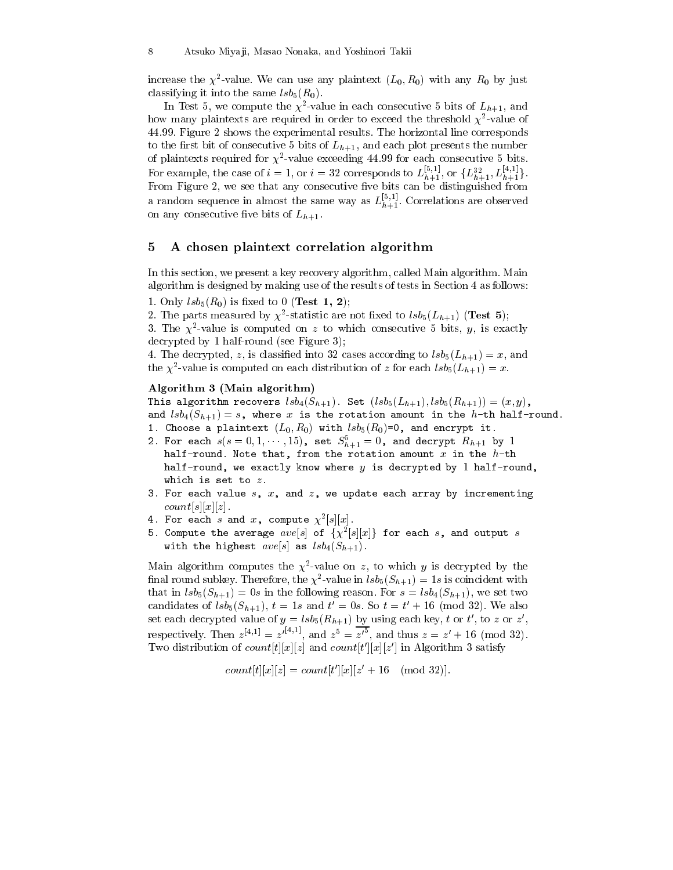increase the  $\chi^2$ -value. We can use any plaintext  $(L_0, R_0)$  with any  $R_0$  by just classifying it into the same  $lsb_5(R_0)$ .

In Test 5, we compute the  $\chi^2$ -value in each consecutive 5 bits of  $L_{h+1}$ , and how many plaintexts are required in order to exceed the threshold  $\chi^2$ -value of 44.99. Figure 2 shows the experimental results. The horizontal line corresponds to the first bit of consecutive 5 bits of  $L_{h+1}$ , and each plot presents the number of plaintexts required for  $\chi^2$ -value exceeding 44.99 for each consecutive 5 bits. For example, the case of  $i = 1$ , or  $i = 32$  corresponds to  $L_{h+1}^{[5,1]}$ , or  $\{L_{h+1}^{32}, L_{h+1}^{[4,1]}\}.$ From Figure 2, we see that any consecutive five bits can be distinguished from a random sequence in almost the same way as  $L_{h+1}^{[5,1]}$ . Correlations are observed on any consecutive five bits of  $L_{h+1}$ .

#### A chosen plaintext correlation algorithm 5

In this section, we present a key recovery algorithm, called Main algorithm. Main algorithm is designed by making use of the results of tests in Section 4 as follows:

1. Only  $lsb_5(R_0)$  is fixed to 0 (**Test 1, 2**);

2. The parts measured by  $\chi^2$ -statistic are not fixed to  $lsb_5(L_{h+1})$  (Test 5);

3. The  $\chi^2$ -value is computed on z to which consecutive 5 bits, y, is exactly decrypted by 1 half-round (see Figure 3);

4. The decrypted, z, is classified into 32 cases according to  $lsb_5(L_{h+1})=x$ , and the  $\chi^2$ -value is computed on each distribution of z for each  $lsb_5(L_{h+1})=x$ .

## Algorithm 3 (Main algorithm)

This algorithm recovers  $lsb_4(S_{h+1})$ . Set  $(lsb_5(L_{h+1}),lsb_5(R_{h+1})) = (x, y)$ , and  $lsb_4(S_{h+1}) = s$ , where x is the rotation amount in the h-th half-round.

- 1. Choose a plaintext  $(L_0, R_0)$  with  $lsb_5(R_0)=0$ , and encrypt it.
- 2. For each  $s(s = 0, 1, \dots, 15)$ , set  $S_{h+1}^5 = 0$ , and decrypt  $R_{h+1}$  by 1 half-round. Note that, from the rotation amount  $x$  in the  $h$ -th half-round, we exactly know where  $y$  is decrypted by 1 half-round, which is set to  $z$ .
- 3. For each value  $s$ ,  $x$ , and  $z$ , we update each array by incrementing  $count[s][x][z]$ .
- 4. For each s and x, compute  $\chi^2[s][x]$ .
- 5. Compute the average  $ave[s]$  of  $\{\chi^2[s][x]\}$  for each s, and output s with the highest  $ave[s]$  as  $lsb_4(S_{h+1})$ .

Main algorithm computes the  $\chi^2$ -value on z, to which y is decrypted by the final round subkey. Therefore, the  $\chi^2$ -value in  $lsb_5(S_{h+1})=1s$  is coincident with that in  $lsb_5(S_{h+1}) = 0s$  in the following reason. For  $s = lsb_4(S_{h+1})$ , we set two candidates of  $lsb_5(S_{h+1}), t = 1s$  and  $t' = 0s$ . So  $t = t' + 16 \pmod{32}$ . We also set each decrypted value of  $y = \ell s b_5(R_{h+1})$  by using each key, t or t', to z or z', respectively. Then  $z^{[4,1]} = z'^{[4,1]}$ , and  $z^5 = z'^5$ , and thus  $z = z' + 16 \pmod{32}$ . Two distribution of *count*[t][x][z] and *count*[t'][x][z'] in Algorithm 3 satisfy

 $count[t][x][z] = count[t'][x][z' + 16 \pmod{32}].$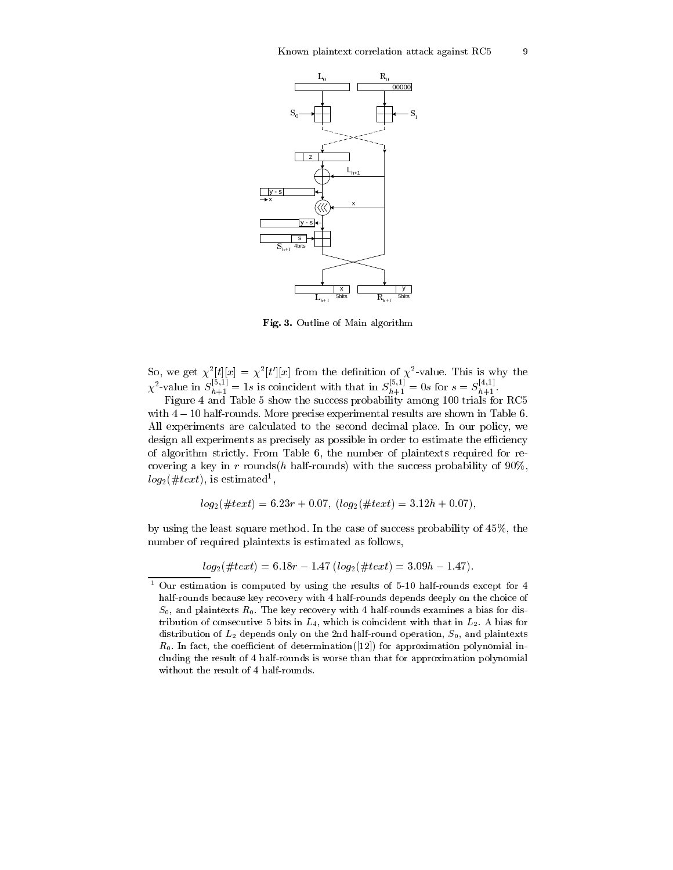9



Fig. 3. Outline of Main algorithm

So, we get  $\chi^2[t][x] = \chi^2[t'][x]$  from the definition of  $\chi^2$ -value. This is why the  $\chi^2$ -value in  $S_{h+1}^{[5,1]} = 1s$  is coincident with that in  $S_{h+1}^{[5,1]} = 0s$  for  $s = S_{h+1}^{[4,1]}$ .<br>Figure 4 and Table 5 show the succ

with  $4-10$  half-rounds. More precise experimental results are shown in Table 6. All experiments are calculated to the second decimal place. In our policy, we design all experiments as precisely as possible in order to estimate the efficiency of algorithm strictly. From Table 6, the number of plaintexts required for recovering a key in r rounds(h half-rounds) with the success probability of  $90\%$ ,  $log_2(\#text{x}t)$ , is estimated<sup>1</sup>,

$$
log_2(\#text) = 6.23r + 0.07, (log_2(\#text) = 3.12h + 0.07),
$$

by using the least square method. In the case of success probability of  $45\%$ , the number of required plaintexts is estimated as follows,

 $log_2(\#text) = 6.18r - 1.47 (log_2(\#text) = 3.09h - 1.47).$ 

Our estimation is computed by using the results of 5-10 half-rounds except for 4 half-rounds because key recovery with 4 half-rounds depends deeply on the choice of  $S_0$ , and plaintexts  $R_0$ . The key recovery with 4 half-rounds examines a bias for distribution of consecutive 5 bits in  $L_4$ , which is coincident with that in  $L_2$ . A bias for distribution of  $L_2$  depends only on the 2nd half-round operation,  $S_0$ , and plaintexts  $R_0$ . In fact, the coefficient of determination([12]) for approximation polynomial including the result of 4 half-rounds is worse than that for approximation polynomial without the result of 4 half-rounds.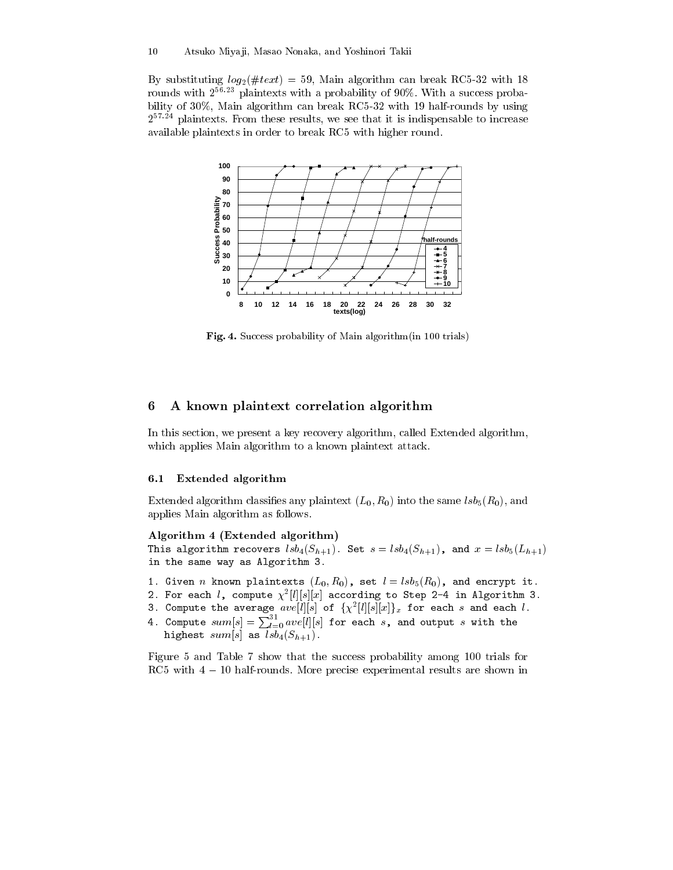By substituting  $log_2(\#text) = 59$ , Main algorithm can break RC5-32 with 18 rounds with  $2^{56.23}$  plaintexts with a probability of 90%. With a success probability of 30%, Main algorithm can break RC5-32 with 19 half-rounds by using  $2^{57.24}$  plaintexts. From these results, we see that it is indispensable to increase available plaintexts in order to break RC5 with higher round.



Fig. 4. Success probability of Main algorithm (in 100 trials)

#### 6 A known plaintext correlation algorithm

In this section, we present a key recovery algorithm, called Extended algorithm, which applies Main algorithm to a known plaintext attack.

#### $6.1$ Extended algorithm

Extended algorithm classifies any plaintext  $(L_0, R_0)$  into the same  $lsb<sub>5</sub>(R<sub>0</sub>)$ , and applies Main algorithm as follows.

### Algorithm 4 (Extended algorithm)

This algorithm recovers  $lsb_4(S_{h+1})$ . Set  $s = lsb_4(S_{h+1})$ , and  $x = lsb_5(L_{h+1})$ in the same way as Algorithm 3.

- 1. Given *n* known plaintexts  $(L_0, R_0)$ , set  $l = lsb_5(R_0)$ , and encrypt it.
- 2. For each  $l$ , compute  $\chi^2[l][s][x]$  according to Step 2-4 in Algorithm 3.
- 3. Compute the average  $ave[l][s]$  of  $\{\chi^2[l][s][x]\}_x$  for each s and each l.
- 4. Compute  $sum[s] = \sum_{l=0}^{31} ave[l][s]$  for each s, and output s with the highest  $sum[s]$  as  $lsb<sub>4</sub>(S<sub>h+1</sub>)$ .

Figure 5 and Table 7 show that the success probability among 100 trials for RC5 with  $4-10$  half-rounds. More precise experimental results are shown in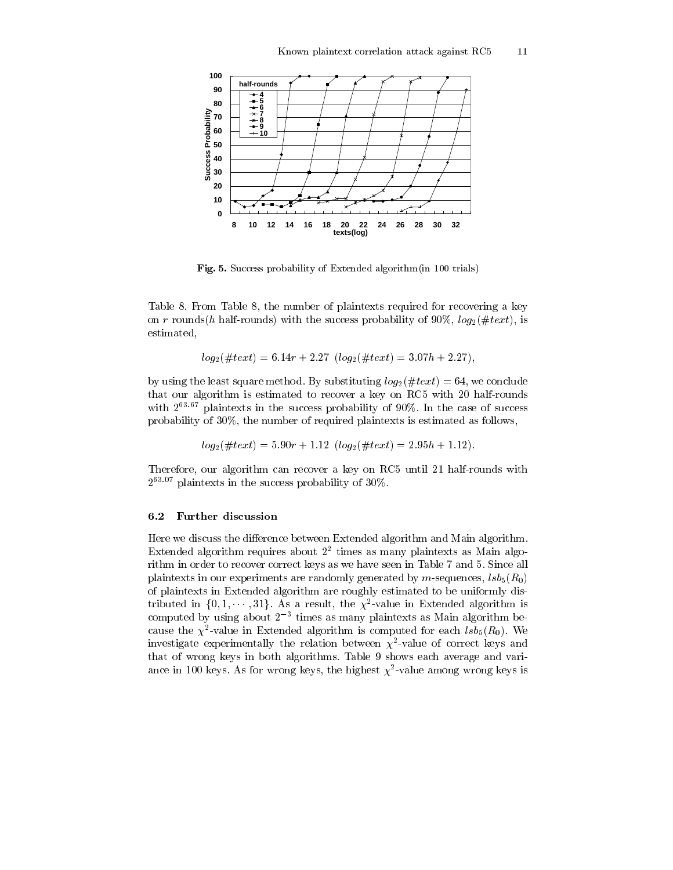

Fig. 5. Success probability of Extended algorithm (in 100 trials)

Table 8. From Table 8, the number of plaintexts required for recovering a key on r rounds(h half-rounds) with the success probability of 90%,  $log_2(\#text)$ , is estimated,

$$
log_2(\#text) = 6.14r + 2.27 \ (log_2(\#text) = 3.07h + 2.27),
$$

by using the least square method. By substituting  $log_2(\#text{t} x t) = 64$ , we conclude that our algorithm is estimated to recover a key on RC5 with 20 half-rounds with  $2^{63.67}$  plaintexts in the success probability of 90%. In the case of success probability of 30%, the number of required plaintexts is estimated as follows,

$$
log_2(\#text) = 5.90r + 1.12 \ (log_2(\#text) = 2.95h + 1.12).
$$

Therefore, our algorithm can recover a key on RC5 until 21 half-rounds with  $2^{63.07}$  plaintexts in the success probability of 30%.

#### $6.2$ **Further discussion**

Here we discuss the difference between Extended algorithm and Main algorithm. Extended algorithm requires about  $2<sup>2</sup>$  times as many plaintexts as Main algorithm in order to recover correct keys as we have seen in Table 7 and 5. Since all plaintexts in our experiments are randomly generated by m-sequences,  $\text{lsb}_5(R_0)$ of plaintexts in Extended algorithm are roughly estimated to be uniformly distributed in  $\{0, 1, \dots, 31\}$ . As a result, the  $\chi^2$ -value in Extended algorithm is computed by using about  $2^{-3}$  times as many plaintexts as Main algorithm because the  $\chi^2$ -value in Extended algorithm is computed for each  $lsb_5(R_0)$ . We investigate experimentally the relation between  $\chi^2$ -value of correct keys and that of wrong keys in both algorithms. Table 9 shows each average and variance in 100 keys. As for wrong keys, the highest  $\chi^2$ -value among wrong keys is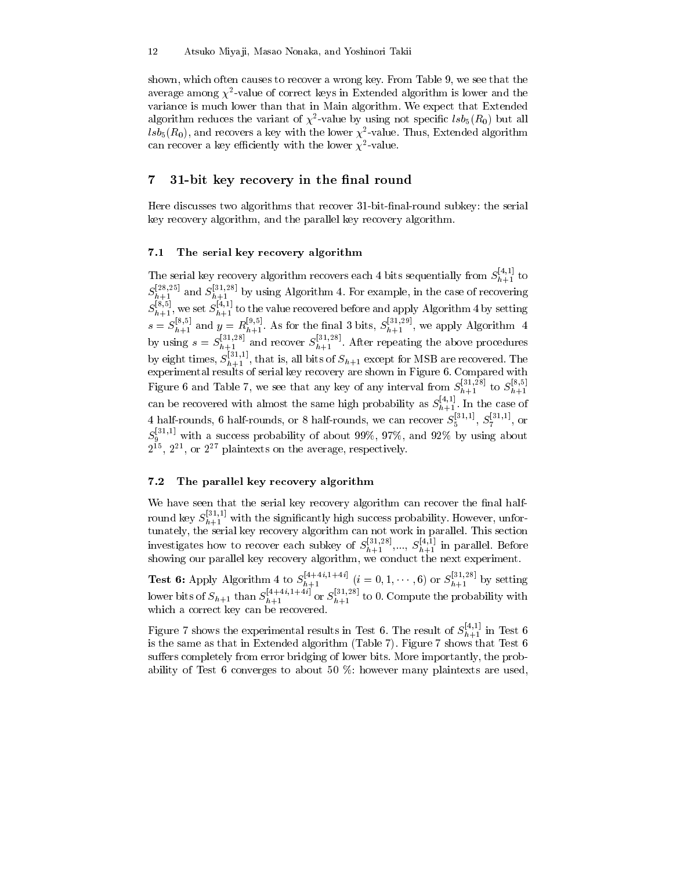shown, which often causes to recover a wrong key. From Table 9, we see that the average among  $\chi^2$ -value of correct keys in Extended algorithm is lower and the variance is much lower than that in Main algorithm. We expect that Extended algorithm reduces the variant of  $\chi^2$ -value by using not specific  $lsb_5(R_0)$  but all  $\overline{lsb}_5(R_0)$ , and recovers a key with the lower  $\chi^2$ -value. Thus, Extended algorithm can recover a key efficiently with the lower  $\chi^2$ -value.

#### $\overline{7}$ 31-bit key recovery in the final round

Here discusses two algorithms that recover 31-bit-final-round subkey: the serial key recovery algorithm, and the parallel key recovery algorithm.

#### $7.1$ The serial key recovery algorithm

The serial key recovery algorithm recovers each 4 bits sequentially from  $S_{h+1}^{[4,1]}$  to The senar key recovery argorithm recovers each 4 bits sequentially from  $S_{h+1}^{[2,25]}$  to  $S_{h+1}^{[28,25]}$  and  $S_{h+1}^{[31,28]}$  by using Algorithm 4. For example, in the case of recovering  $S_{h+1}^{[8,5]}$ , we set  $S_{h+1}^{$ experimental results of serial key recovery are shown in Figure 6. Compared with Figure 6 and Table 7, we see that any key of any interval from  $S_{h+1}^{[31,28]}$  to  $S_{h+1}^{[8,5]}$ can be recovered with almost the same high probability as  $S_{h+1}^{[4,1]}$ . In the case of 4 half-rounds, 6 half-rounds, or 8 half-rounds, we can recover  $S_5^{[31,1]}$ ,  $S_7^{[31,1]}$ , or  $S_9^{[31,1]}$  with a success probability of about 99%, 97%, and 92% by using about  $2^{15}$ ,  $2^{21}$ , or  $2^{27}$  plaintexts on the average, respectively.

#### $7.2$ The parallel key recovery algorithm

We have seen that the serial key recovery algorithm can recover the final halfwe have seen that the serial key recovery algorithm can recover the linear man-<br>round key  $S_{h+1}^{[31,1]}$  with the significantly high success probability. However, unfor-<br>tunately, the serial key recovery algorithm can no

**Test 6:** Apply Algorithm 4 to  $S_{h+1}^{[4+4i,1+4i]}$   $(i = 0, 1, \dots, 6)$  or  $S_{h+1}^{[31,28]}$  by setting lower bits of  $S_{h+1}$  than  $S_{h+1}^{[4+4i,1+4i]}$  or  $S_{h+1}^{[31,28]}$  to 0. Compute the probability with which a correct key can be recovered.

Figure 7 shows the experimental results in Test 6. The result of  $S_{h+1}^{[4,1]}$  in Test 6 is the same as that in Extended algorithm (Table 7). Figure 7 shows that Test  $6$ suffers completely from error bridging of lower bits. More importantly, the probability of Test 6 converges to about 50  $\%$ : however many plaintexts are used,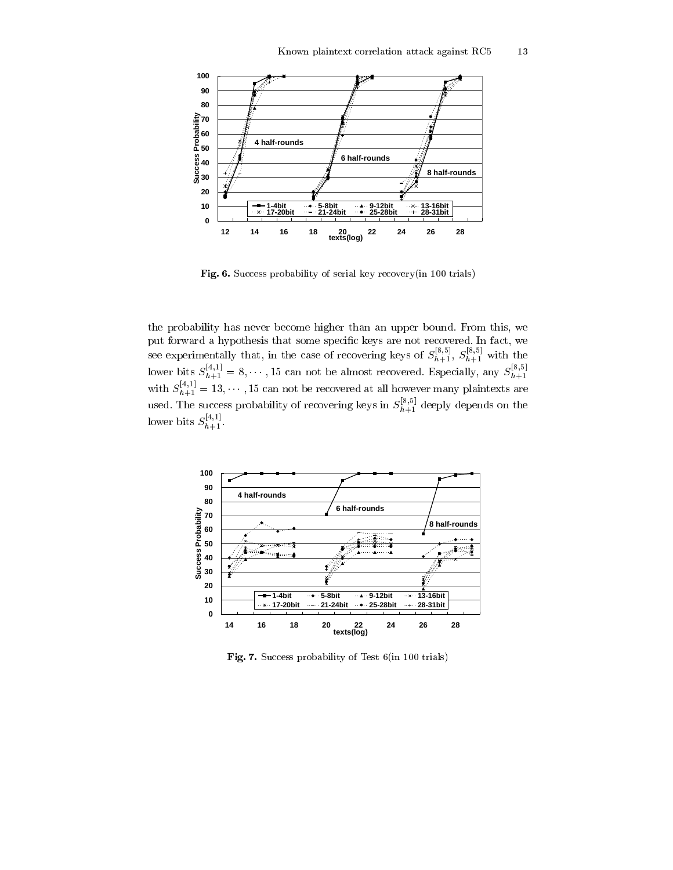

Fig. 6. Success probability of serial key recovery (in 100 trials)

the probability has never become higher than an upper bound. From this, we put forward a hypothesis that some specific keys are not recovered. In fact, we see experimentally that, in the case of recovering keys are not recovered. In ract, we<br>see experimentally that, in the case of recovering keys of  $S_{h+1}^{[8,5]}$ ,  $S_{h+1}^{[8,5]}$  with the<br>lower bits  $S_{h+1}^{[4,1]} = 8, \dots, 15$ used. The success probability of recovering keys in  $S_{h+1}^{[8,5]}$  deeply depends on the lower bits  $S_{h+1}^{[4,1]}$ .



Fig. 7. Success probability of Test 6(in 100 trials)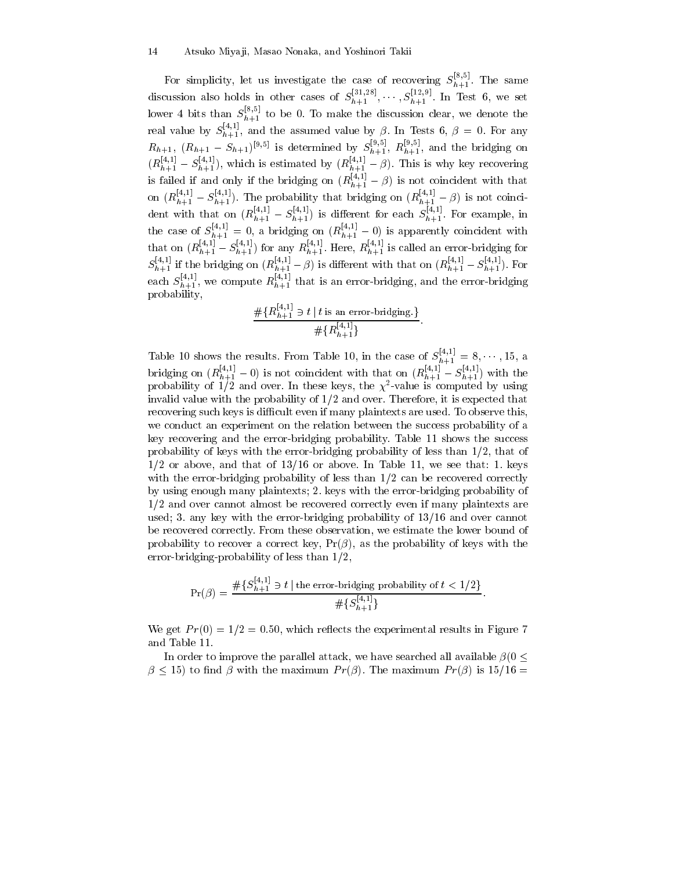#### 14 Atsuko Miyaji, Masao Nonaka, and Yoshinori Takii

For simplicity, let us investigate the case of recovering  $S_{h+1}^{[8,5]}$ . The same discussion also holds in other cases of  $S_{h+1}^{[31,28]}, \dots, S_{h+1}^{[12,9]}$ . In Test 6, we set lower 4 bits than  $S_{h+1}^{[8,5]}$  to be 0. To make the discussion clear, we denote the real value by  $S_{h+1}^{[4,1]}$ , and the assumed value by  $\beta$ . In Tests 6,  $\beta = 0$ . For any  $R_{h+1}$ ,  $(R_{h+1} - S_{h+1})^{[9,5]}$  is determined by  $S_{h+1}^{[9,5]}$ ,  $R_{h+1}^{[9,5]}$ , and the bridging on  $(R_{h+1}^{[4,1]} - S_{h+1}^{[4,1]})$ , on  $(R_{h+1}^{[4,1]} - S_{h+1}^{[4,1]}).$  The probability that bridging on  $(R_{h+1}^{[4,1]} - \beta)$  is not coincident with that on  $(R_{h+1}^{[4,1]}-S_{h+1}^{[4,1]})$  is different for each  $S_{h+1}^{[4,1]}$ . For example, in the case of  $S_{h+1}^{[4,1]} = 0$ , a bridging on  $(R_{h+1}^{[4,1]} - 0)$  is apparently coincident with<br>that on  $(R_{h+1}^{[4,1]} - S_{h+1}^{[4,1]})$  for any  $R_{h+1}^{[4,1]}$ . Here,  $R_{h+1}^{[4,1]}$  is called an error-bridging for<br> $S_{h+1}^{[4,1]}$ probability,

$$
\frac{\#\{R_{h+1}^{[4,1]}\ni t \mid t \text{ is an error-bridging.}\}}{\#\{R_{h+1}^{[4,1]}\}}
$$

Table 10 shows the results. From Table 10, in the case of  $S_{h+1}^{[4,1]} = 8, \cdots, 15$ , a bridging on  $(R_{h+1}^{[4,1]}-0)$  is not coincident with that on  $(R_{h+1}^{[4,1]}-S_{h+1}^{[4,1]})$  with the probability of  $1/2$  and over. In these keys, the  $\chi^2$ -value is computed by using invalid value with the probability of  $1/2$  and over. Therefore, it is expected that recovering such keys is difficult even if many plaintexts are used. To observe this, we conduct an experiment on the relation between the success probability of a key recovering and the error-bridging probability. Table 11 shows the success probability of keys with the error-bridging probability of less than  $1/2$ , that of  $1/2$  or above, and that of  $13/16$  or above. In Table 11, we see that: 1. keys with the error-bridging probability of less than  $1/2$  can be recovered correctly by using enough many plaintexts; 2. keys with the error-bridging probability of  $1/2$  and over cannot almost be recovered correctly even if many plaintexts are used; 3. any key with the error-bridging probability of 13/16 and over cannot be recovered correctly. From these observation, we estimate the lower bound of probability to recover a correct key,  $Pr(\beta)$ , as the probability of keys with the error-bridging-probability of less than  $1/2$ ,

$$
\Pr(\beta) = \frac{\#\{S_{h+1}^{[4,1]} \ni t \mid \text{the error-bridging probability of } t < 1/2\}}{\#\{S_{h+1}^{[4,1]}\}}
$$

We get  $Pr(0) = 1/2 = 0.50$ , which reflects the experimental results in Figure 7 and Table 11.

In order to improve the parallel attack, we have searched all available  $\beta$  (0 <  $\beta \leq 15$ ) to find  $\beta$  with the maximum  $Pr(\beta)$ . The maximum  $Pr(\beta)$  is 15/16 =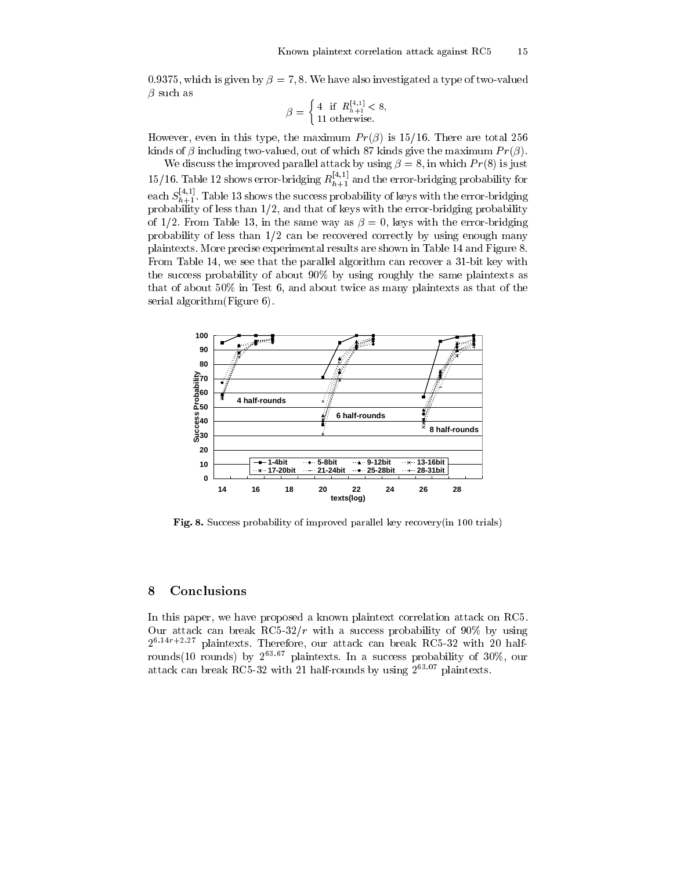0.9375, which is given by  $\beta = 7, 8$ . We have also investigated a type of two-valued  $\beta$  such as

$$
\beta = \left\{ \begin{array}{ll} 4 & \text{if } R_{h+1}^{\lfloor 4,1 \rfloor} < 8, \\ 11 & \text{otherwise.} \end{array} \right.
$$

However, even in this type, the maximum  $Pr(\beta)$  is 15/16. There are total 256 kinds of  $\beta$  including two-valued, out of which 87 kinds give the maximum  $Pr(\beta)$ .

We discuss the improved parallel attack by using  $\beta = 8$ , in which  $Pr(8)$  is just 15/16. Table 12 shows error-bridging  $R_{h+1}^{[4,1]}$  and the error-bridging probability for each  $S_{h+1}^{[4,1]}$ . Table 13 shows the success probability of keys with the error-bridging probability of less than  $1/2$ , and that of keys with the error-bridging probability of 1/2. From Table 13, in the same way as  $\beta = 0$ , keys with the error-bridging probability of less than  $1/2$  can be recovered correctly by using enough many plaintexts. More precise experimental results are shown in Table 14 and Figure 8. From Table 14, we see that the parallel algorithm can recover a 31-bit key with the success probability of about 90% by using roughly the same plaintexts as that of about  $50\%$  in Test 6, and about twice as many plaintexts as that of the serial algorithm (Figure 6).



Fig. 8. Success probability of improved parallel key recovery (in 100 trials)

#### Conclusions 8

In this paper, we have proposed a known plaintext correlation attack on RC5. Our attack can break RC5-32/r with a success probability of 90% by using  $2^{6.14r+2.27}$  plaintexts. Therefore, our attack can break RC5-32 with 20 halfrounds(10 rounds) by  $2^{63.67}$  plaintexts. In a success probability of 30%, our attack can break RC5-32 with 21 half-rounds by using  $2^{63.07}$  plaintexts.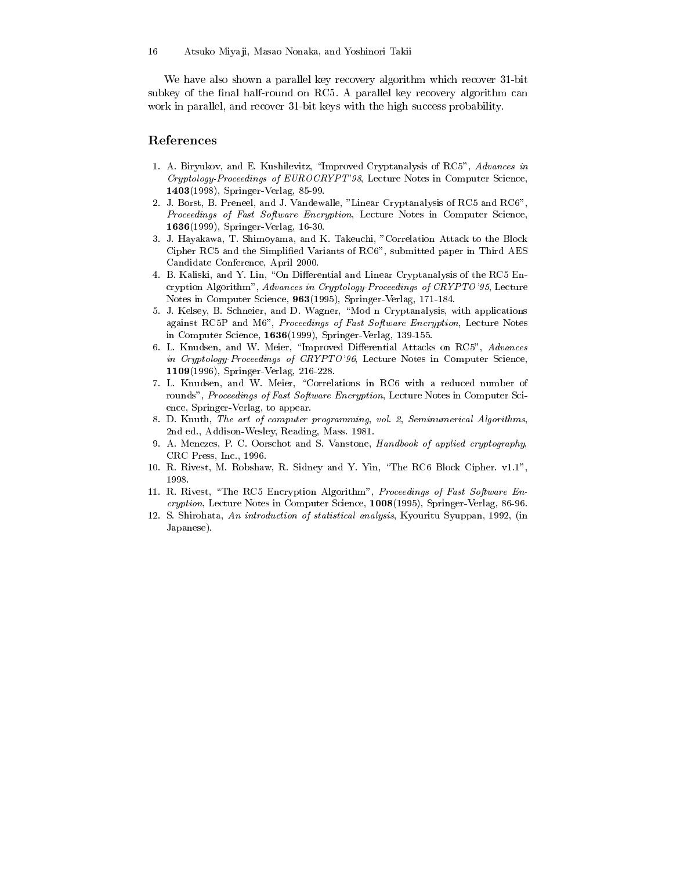We have also shown a parallel key recovery algorithm which recover 31-bit subkey of the final half-round on RC5. A parallel key recovery algorithm can work in parallel, and recover 31-bit keys with the high success probability.

# References

- 1. A. Biryukov, and E. Kushilevitz, "Improved Cryptanalysis of RC5", Advances in Cryptology-Proceedings of EUROCRYPT'98, Lecture Notes in Computer Science, 1403(1998), Springer-Verlag, 85-99.
- 2. J. Borst, B. Preneel, and J. Vandewalle, "Linear Cryptanalysis of RC5 and RC6". Proceedings of Fast Software Encryption, Lecture Notes in Computer Science, 1636(1999), Springer-Verlag, 16-30.
- 3. J. Hayakawa, T. Shimoyama, and K. Takeuchi, "Correlation Attack to the Block Cipher RC5 and the Simplified Variants of RC6", submitted paper in Third AES Candidate Conference, April 2000.
- 4. B. Kaliski, and Y. Lin, "On Differential and Linear Cryptanalysis of the RC5 Encryption Algorithm", Advances in Cryptology-Proceedings of CRYPTO'95, Lecture Notes in Computer Science, 963(1995), Springer-Verlag, 171-184.
- 5. J. Kelsey, B. Schneier, and D. Wagner, "Mod n Cryptanalysis, with applications against RC5P and M6", Proceedings of Fast Software Encryption, Lecture Notes in Computer Science,  $1636(1999)$ , Springer-Verlag, 139-155.
- 6. L. Knudsen, and W. Meier, "Improved Differential Attacks on RC5", Advances in Cryptology-Proceedings of CRYPTO'96, Lecture Notes in Computer Science, 1109(1996), Springer-Verlag, 216-228.
- 7. L. Knudsen, and W. Meier, "Correlations in RC6 with a reduced number of rounds", Proceedings of Fast Software Encryption, Lecture Notes in Computer Science, Springer-Verlag, to appear.
- 8. D. Knuth, The art of computer programming, vol. 2, Seminumerical Algorithms, 2nd ed., Addison-Wesley, Reading, Mass. 1981.
- 9. A. Menezes, P. C. Oorschot and S. Vanstone, Handbook of applied cryptography, CRC Press. Inc., 1996.
- 10. R. Rivest, M. Robshaw, R. Sidney and Y. Yin, "The RC6 Block Cipher. v1.1", 1998.
- 11. R. Rivest, "The RC5 Encryption Algorithm", Proceedings of Fast Software Encryption, Lecture Notes in Computer Science, 1008(1995), Springer-Verlag, 86-96.
- 12. S. Shirohata, An introduction of statistical analysis, Kyouritu Syuppan, 1992, (in Japanese).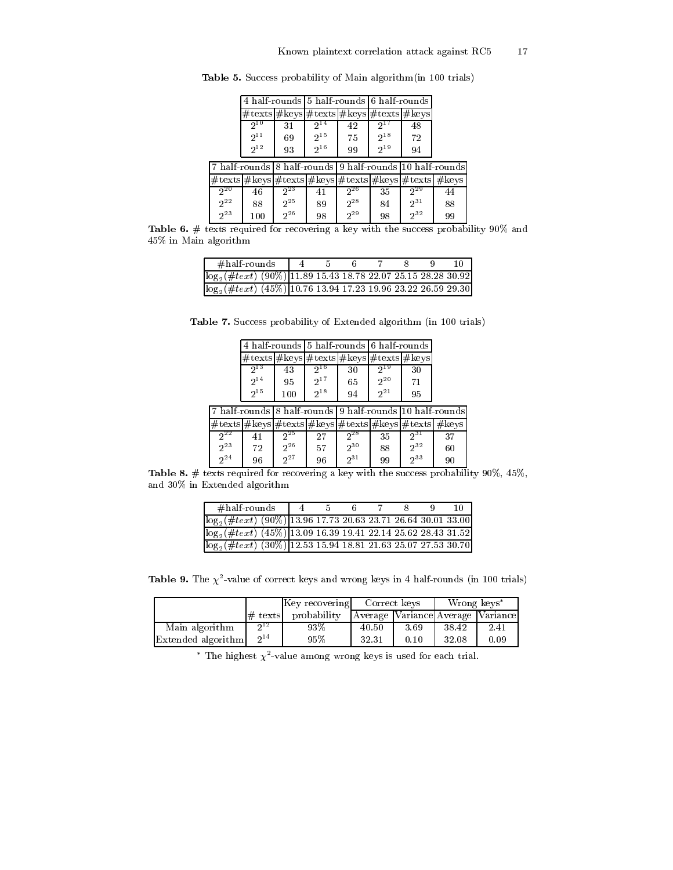|          |                                                                                                             | 4 half-rounds 5 half-rounds 6 half-rounds |          |          |          |          |    |
|----------|-------------------------------------------------------------------------------------------------------------|-------------------------------------------|----------|----------|----------|----------|----|
|          | $\# \text{texs}$ # keys $\# \text{texs}$ # texts $\# \text{keys}$ $\# \text{texs}$ # texts $\# \text{keys}$ |                                           |          |          |          |          |    |
|          | $2^{10}$                                                                                                    | 31                                        | $2^{14}$ | 42       |          | 48       |    |
|          | $2^{11}$                                                                                                    | 69                                        | $2^{15}$ | 75       | $2^{18}$ | 72       |    |
|          | $2^{12}$                                                                                                    | 93                                        | $2^{16}$ | 99       | $2^{19}$ | 94       |    |
|          |                                                                                                             |                                           |          |          |          |          |    |
|          | #texts #keys #texts #keys #texts #keys #texts #keys                                                         |                                           |          |          |          |          |    |
| $2^{20}$ | 46                                                                                                          | $2^{23}$                                  | 41       | $2^{26}$ | 35       | $2^{29}$ | 44 |
| $2^{22}$ | 88                                                                                                          | $2^{25}$                                  | 89       | $2^{28}$ | 84       | $2^{31}$ | 88 |
| $2^{23}$ | 100                                                                                                         | $2^{26}$                                  | 98       | $2^{29}$ | 98       | $2^{32}$ | 99 |

Table 5. Success probability of Main algorithm (in 100 trials)

Table 6. # texts required for recovering a key with the success probability 90% and 45% in Main algorithm

| $#half$ rounds                                                              |  |  |  |  |
|-----------------------------------------------------------------------------|--|--|--|--|
| $\log_2(\#te\overline{xt})$ (90%) 11.89 15.43 18.78 22.07 25.15 28.28 30.92 |  |  |  |  |
| $\log_2(\#te\overline{xt})$ (45%) 10.76 13.94 17.23 19.96 23.22 26.59 29.30 |  |  |  |  |

Table 7. Success probability of Extended algorithm (in 100 trials)

|                      |          | 4 half-rounds 5 half-rounds 6 half-rounds                                                                                           |          |                      |          |                                                          |    |
|----------------------|----------|-------------------------------------------------------------------------------------------------------------------------------------|----------|----------------------|----------|----------------------------------------------------------|----|
|                      |          | $\# \text{tex} \frac{1}{2}$ keys $\# \text{tex} \frac{1}{2}$ keys $\# \text{tex} \frac{1}{2}$ keys $\# \text{tex} \frac{1}{2}$ keys |          |                      |          |                                                          |    |
|                      | 213      | 43                                                                                                                                  | $2^{16}$ | 30                   | $2^{19}$ | 30                                                       |    |
|                      | $2^{14}$ | 95                                                                                                                                  | $2^{17}$ | 65                   | $2^{20}$ | 71                                                       |    |
|                      | $2^{15}$ | 100                                                                                                                                 | $2^{18}$ | 94                   | $2^{21}$ | 95                                                       |    |
|                      |          |                                                                                                                                     |          |                      |          |                                                          |    |
|                      |          |                                                                                                                                     |          |                      |          | 7 half-rounds 8 half-rounds 9 half-rounds 10 half-rounds |    |
|                      |          |                                                                                                                                     |          |                      |          | #texts #keys #texts #keys #texts #keys #texts #keys      |    |
| $2^{22}$             | 41       | $2^{25}$                                                                                                                            | 27       | 228                  | 35       | $2^{31}$                                                 | 37 |
| $2^{23}$<br>$2^{24}$ | 72       | $2^{26}$<br>$2^{27}$                                                                                                                | 57       | $2^{30}$<br>$2^{31}$ | 88       | $2^{32}$<br>$2^{33}$                                     | 60 |

Table 8.  $\#$  texts required for recovering a key with the success probability 90%, 45%, and  $30\%$  in Extended algorithm

| $\# \text{half-rounds}$                                                       | $-4$ |  |  |  |
|-------------------------------------------------------------------------------|------|--|--|--|
| $\sqrt{\log_2(\#text{text})}$ (90%) 13.96 17.73 20.63 23.71 26.64 30.01 33.00 |      |  |  |  |
| $\log_2(\#text{text})$ (45%) 13.09 16.39 19.41 22.14 25.62 28.43 31.52        |      |  |  |  |
| $\log_2(\#te\overline{xt})$ (30%) 12.53 15.94 18.81 21.63 25.07 27.53 30.70   |      |  |  |  |

Table 9. The  $\chi^2$ -value of correct keys and wrong keys in 4 half-rounds (in 100 trials)

|                    |                                                                        | Key recovering | Correct keys                      |      | Wrong keys* |      |  |  |  |  |  |
|--------------------|------------------------------------------------------------------------|----------------|-----------------------------------|------|-------------|------|--|--|--|--|--|
|                    | $#$ texts                                                              | probability    | Average Variance Average Variance |      |             |      |  |  |  |  |  |
| Main algorithm     | $2^{12}$                                                               | 93%            | 40.50                             | 3.69 | 38.42       | 2.41 |  |  |  |  |  |
| Extended algorithm | $2^{14}$                                                               | 95%            | 32.31                             | 0.10 | 32.08       | 0.09 |  |  |  |  |  |
|                    | * The highest $\chi^2$ -value among wrong keys is used for each trial. |                |                                   |      |             |      |  |  |  |  |  |